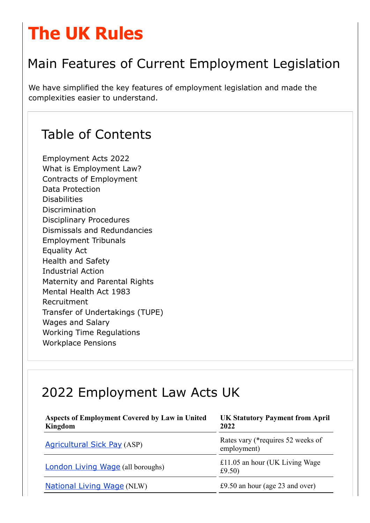# The UK Rules

# Main Features of Current Employment Legislation

We have simplified the key features of employment legislation and made the complexities easier to understand.

### Table of Contents

Employment Acts 2022 What is Employment Law? Contracts of Employment Data Protection Disabilities Discrimination Disciplinary Procedures Dismissals and Redundancies Employment Tribunals Equality Act Health and Safety Industrial Action Maternity and Parental Rights Mental Health Act 1983 Recruitment Transfer of Undertakings (TUPE) Wages and Salary Working Time Regulations Workplace Pensions

### 2022 Employment Law Acts UK

| <b>Aspects of Employment Covered by Law in United</b><br>Kingdom | <b>UK Statutory Payment from April</b><br>2022   |
|------------------------------------------------------------------|--------------------------------------------------|
| <b>Agricultural Sick Pay (ASP)</b>                               | Rates vary (*requires 52 weeks of<br>employment) |
| <b>London Living Wage (all boroughs)</b>                         | £11.05 an hour (UK Living Wage<br>£9.50)         |
| <b>National Living Wage (NLW)</b>                                | £9.50 an hour (age $23$ and over)                |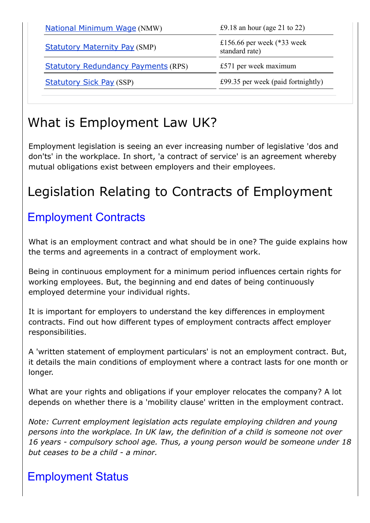| <b>National Minimum Wage (NMW)</b>         | £9.18 an hour (age 21 to 22)                   |
|--------------------------------------------|------------------------------------------------|
| <b>Statutory Maternity Pay (SMP)</b>       | £156.66 per week $(*33$ week<br>standard rate) |
| <b>Statutory Redundancy Payments (RPS)</b> | £571 per week maximum                          |
| <b>Statutory Sick Pay (SSP)</b>            | £99.35 per week (paid fortnightly)             |
|                                            |                                                |

# What is Employment Law UK?

Employment legislation is seeing an ever increasing number of legislative 'dos and don'ts' in the workplace. In short, 'a contract of service' is an agreement whereby mutual obligations exist between employers and their employees.

# Legislation Relating to Contracts of Employment

#### Employment Contracts

What is an employment contract and what should be in one? The guide explains how the terms and agreements in a contract of employment work.

Being in continuous employment for a minimum period influences certain rights for working employees. But, the beginning and end dates of being continuously employed determine your individual rights.

It is important for employers to understand the key differences in employment contracts. Find out how different types of employment contracts affect employer responsibilities.

A 'written statement of employment particulars' is not an employment contract. But, it details the main conditions of employment where a contract lasts for one month or longer.

What are your rights and obligations if your employer relocates the company? A lot depends on whether there is a 'mobility clause' written in the employment contract.

*Note: Current employment legislation acts regulate employing children and young persons into the workplace. In UK law, the definition of a child is someone not over 16 years compulsory school age. Thus, a young person would be someone under 18 but ceases to be a child a minor.*

#### Employment Status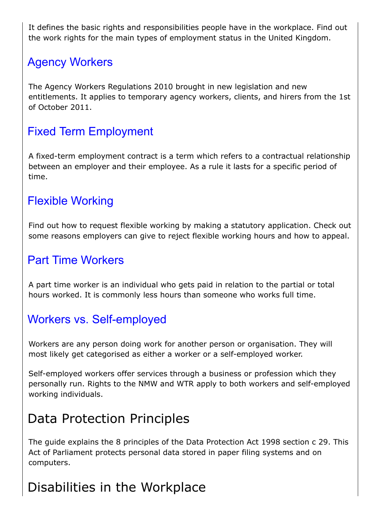It defines the basic rights and responsibilities people have in the workplace. Find out the work rights for the main types of employment status in the United Kingdom.

#### Agency Workers

The Agency Workers Regulations 2010 brought in new legislation and new entitlements. It applies to temporary agency workers, clients, and hirers from the 1st of October 2011.

#### Fixed Term Employment

A fixed-term employment contract is a term which refers to a contractual relationship between an employer and their employee. As a rule it lasts for a specific period of time.

#### Flexible Working

Find out how to request flexible working by making a statutory application. Check out some reasons employers can give to reject flexible working hours and how to appeal.

#### Part Time Workers

A part time worker is an individual who gets paid in relation to the partial or total hours worked. It is commonly less hours than someone who works full time.

#### Workers vs. Self-employed

Workers are any person doing work for another person or organisation. They will most likely get categorised as either a worker or a self-employed worker.

Self-employed workers offer services through a business or profession which they personally run. Rights to the NMW and WTR apply to both workers and self-employed working individuals.

### Data Protection Principles

The guide explains the 8 principles of the Data Protection Act 1998 section c 29. This Act of Parliament protects personal data stored in paper filing systems and on computers.

### Disabilities in the Workplace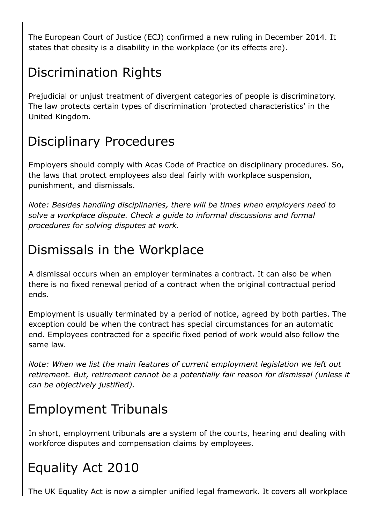The European Court of Justice (ECJ) confirmed a new ruling in December 2014. It states that obesity is a disability in the workplace (or its effects are).

### Discrimination Rights

Prejudicial or unjust treatment of divergent categories of people is discriminatory. The law protects certain types of discrimination 'protected characteristics' in the United Kingdom.

# Disciplinary Procedures

Employers should comply with Acas Code of Practice on disciplinary procedures. So, the laws that protect employees also deal fairly with workplace suspension, punishment, and dismissals.

*Note: Besides handling disciplinaries, there will be times when employers need to solve a workplace dispute. Check a guide to informal discussions and formal procedures for solving disputes at work.*

### Dismissals in the Workplace

A dismissal occurs when an employer terminates a contract. It can also be when there is no fixed renewal period of a contract when the original contractual period ends.

Employment is usually terminated by a period of notice, agreed by both parties. The exception could be when the contract has special circumstances for an automatic end. Employees contracted for a specific fixed period of work would also follow the same law.

*Note: When we list the main features of current employment legislation we left out retirement. But, retirement cannot be a potentially fair reason for dismissal (unless it can be objectively justified).*

# Employment Tribunals

In short, employment tribunals are a system of the courts, hearing and dealing with workforce disputes and compensation claims by employees.

# Equality Act 2010

The UK Equality Act is now a simpler unified legal framework. It covers all workplace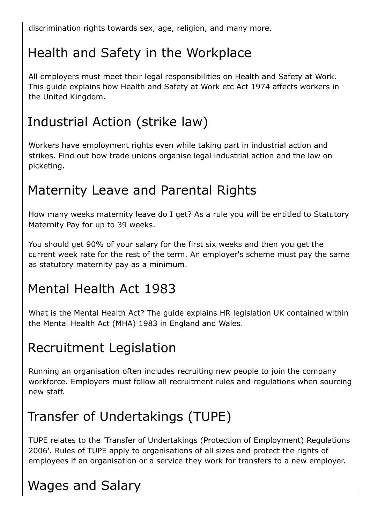discrimination rights towards sex, age, religion, and many more.

# Health and Safety in the Workplace

All employers must meet their legal responsibilities on Health and Safety at Work. This guide explains how Health and Safety at Work etc Act 1974 affects workers in the United Kingdom.

# Industrial Action (strike law)

Workers have employment rights even while taking part in industrial action and strikes. Find out how trade unions organise legal industrial action and the law on picketing.

# Maternity Leave and Parental Rights

How many weeks maternity leave do I get? As a rule you will be entitled to Statutory Maternity Pay for up to 39 weeks.

You should get 90% of your salary for the first six weeks and then you get the current week rate for the rest of the term. An employer's scheme must pay the same as statutory maternity pay as a minimum.

### Mental Health Act 1983

What is the Mental Health Act? The guide explains HR legislation UK contained within the Mental Health Act (MHA) 1983 in England and Wales.

### Recruitment Legislation

Running an organisation often includes recruiting new people to join the company workforce. Employers must follow all recruitment rules and regulations when sourcing new staff.

### Transfer of Undertakings (TUPE)

TUPE relates to the 'Transfer of Undertakings (Protection of Employment) Regulations 2006'. Rules of TUPE apply to organisations of all sizes and protect the rights of employees if an organisation or a service they work for transfers to a new employer.

# Wages and Salary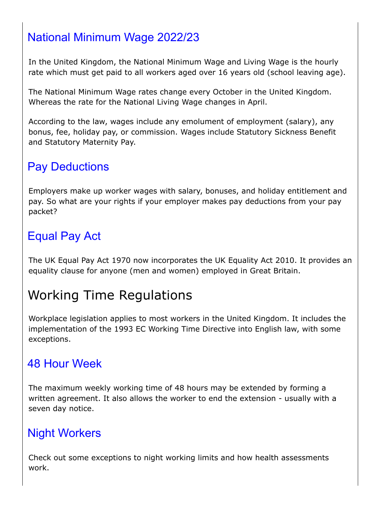### National Minimum Wage 2022/23

In the United Kingdom, the National Minimum Wage and Living Wage is the hourly rate which must get paid to all workers aged over 16 years old (school leaving age).

The National Minimum Wage rates change every October in the United Kingdom. Whereas the rate for the National Living Wage changes in April.

According to the law, wages include any emolument of employment (salary), any bonus, fee, holiday pay, or commission. Wages include Statutory Sickness Benefit and Statutory Maternity Pay.

#### Pay Deductions

Employers make up worker wages with salary, bonuses, and holiday entitlement and pay. So what are your rights if your employer makes pay deductions from your pay packet?

#### Equal Pay Act

The UK Equal Pay Act 1970 now incorporates the UK Equality Act 2010. It provides an equality clause for anyone (men and women) employed in Great Britain.

# Working Time Regulations

Workplace legislation applies to most workers in the United Kingdom. It includes the implementation of the 1993 EC Working Time Directive into English law, with some exceptions.

#### 48 Hour Week

The maximum weekly working time of 48 hours may be extended by forming a written agreement. It also allows the worker to end the extension - usually with a seven day notice.

#### Night Workers

Check out some exceptions to night working limits and how health assessments work.